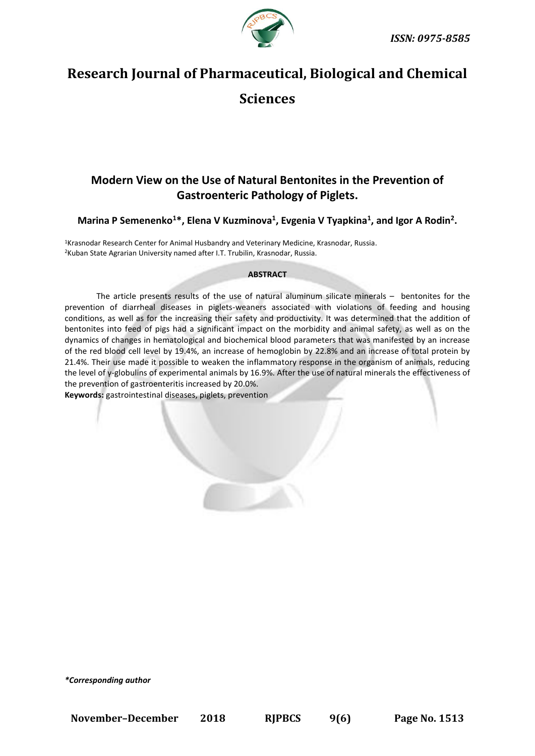

# **Research Journal of Pharmaceutical, Biological and Chemical Sciences**

## **Modern View on the Use of Natural Bentonites in the Prevention of Gastroenteric Pathology of Piglets.**

### **Marina P Semenenko<sup>1</sup>\*, Elena V Kuzminova<sup>1</sup> , Evgenia V Tyapkina<sup>1</sup> , and Igor A Rodin<sup>2</sup> .**

<sup>1</sup>Krasnodar Research Center for Animal Husbandry and Veterinary Medicine, Krasnodar, Russia. <sup>2</sup>Kuban State Agrarian University named after I.T. Trubilin, Krasnodar, Russia.

#### **ABSTRACT**

The article presents results of the use of natural aluminum silicate minerals – bentonites for the prevention of diarrheal diseases in piglets-weaners associated with violations of feeding and housing conditions, as well as for the increasing their safety and productivity. It was determined that the addition of bentonites into feed of pigs had a significant impact on the morbidity and animal safety, as well as on the dynamics of changes in hematological and biochemical blood parameters that was manifested by an increase of the red blood cell level by 19.4%, an increase of hemoglobin by 22.8% and an increase of total protein by 21.4%. Their use made it possible to weaken the inflammatory response in the organism of animals, reducing the level of γ-globulins of experimental animals by 16.9%. After the use of natural minerals the effectiveness of the prevention of gastroenteritis increased by 20.0%.

**Keywords:** gastrointestinal diseases, piglets, prevention

*\*Corresponding author*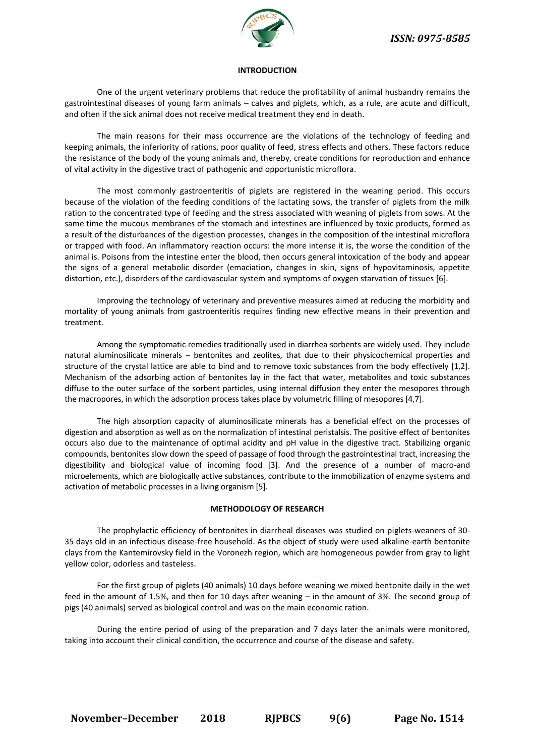

#### **INTRODUCTION**

One of the urgent veterinary problems that reduce the profitability of animal husbandry remains the gastrointestinal diseases of young farm animals – calves and piglets, which, as a rule, are acute and difficult, and often if the sick animal does not receive medical treatment they end in death.

The main reasons for their mass occurrence are the violations of the technology of feeding and keeping animals, the inferiority of rations, poor quality of feed, stress effects and others. These factors reduce the resistance of the body of the young animals and, thereby, create conditions for reproduction and enhance of vital activity in the digestive tract of pathogenic and opportunistic microflora.

The most commonly gastroenteritis of piglets are registered in the weaning period. This occurs because of the violation of the feeding conditions of the lactating sows, the transfer of piglets from the milk ration to the concentrated type of feeding and the stress associated with weaning of piglets from sows. At the same time the mucous membranes of the stomach and intestines are influenced by toxic products, formed as a result of the disturbances of the digestion processes, changes in the composition of the intestinal microflora or trapped with food. An inflammatory reaction occurs: the more intense it is, the worse the condition of the animal is. Poisons from the intestine enter the blood, then occurs general intoxication of the body and appear the signs of a general metabolic disorder (emaciation, changes in skin, signs of hypovitaminosis, appetite distortion, etc.), disorders of the cardiovascular system and symptoms of oxygen starvation of tissues [6].

Improving the technology of veterinary and preventive measures aimed at reducing the morbidity and mortality of young animals from gastroenteritis requires finding new effective means in their prevention and treatment.

Among the symptomatic remedies traditionally used in diarrhea sorbents are widely used. They include natural aluminosilicate minerals – bentonites and zeolites, that due to their physicochemical properties and structure of the crystal lattice are able to bind and to remove toxic substances from the body effectively [1,2]. Mechanism of the adsorbing action of bentonites lay in the fact that water, metabolites and toxic substances diffuse to the outer surface of the sorbent particles, using internal diffusion they enter the mesopores through the macropores, in which the adsorption process takes place by volumetric filling of mesopores [4,7].

The high absorption capacity of aluminosilicate minerals has a beneficial effect on the processes of digestion and absorption as well as on the normalization of intestinal peristalsis. The positive effect of bentonites occurs also due to the maintenance of optimal acidity and pH value in the digestive tract. Stabilizing organic compounds, bentonites slow down the speed of passage of food through the gastrointestinal tract, increasing the digestibility and biological value of incoming food [3]. And the presence of a number of macro-and microelements, which are biologically active substances, contribute to the immobilization of enzyme systems and activation of metabolic processes in a living organism [5].

#### **METHODOLOGY OF RESEARCH**

The prophylactic efficiency of bentonites in diarrheal diseases was studied on piglets-weaners of 30- 35 days old in an infectious disease-free household. As the object of study were used alkaline-earth bentonite clays from the Kantemirovsky field in the Voronezh region, which are homogeneous powder from gray to light yellow color, odorless and tasteless.

For the first group of piglets (40 animals) 10 days before weaning we mixed bentonite daily in the wet feed in the amount of 1.5%, and then for 10 days after weaning – in the amount of 3%. The second group of pigs (40 animals) served as biological control and was on the main economic ration.

During the entire period of using of the preparation and 7 days later the animals were monitored, taking into account their clinical condition, the occurrence and course of the disease and safety.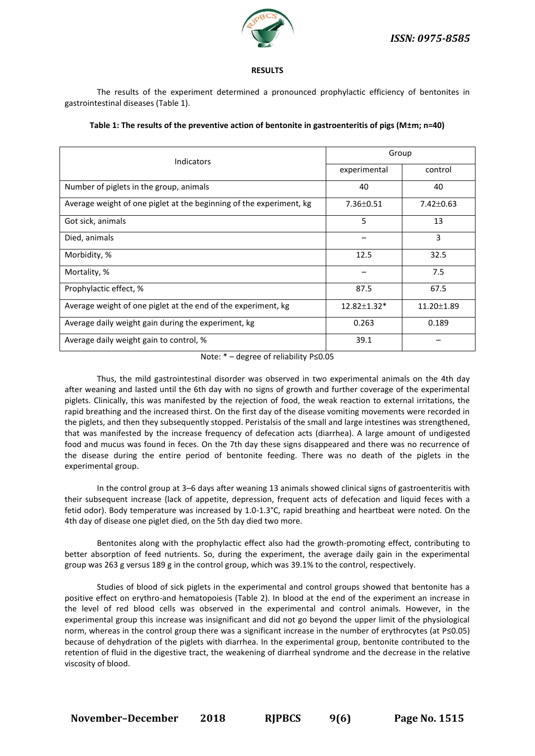

#### **RESULTS**

The results of the experiment determined a pronounced prophylactic efficiency of bentonites in gastrointestinal diseases (Table 1).

| Indicators                                                          | Group              |                 |
|---------------------------------------------------------------------|--------------------|-----------------|
|                                                                     | experimental       | control         |
| Number of piglets in the group, animals                             | 40                 | 40              |
| Average weight of one piglet at the beginning of the experiment, kg | $7.36 \pm 0.51$    | $7.42 \pm 0.63$ |
| Got sick, animals                                                   | 5                  | 13              |
| Died, animals                                                       |                    | 3               |
| Morbidity, %                                                        | 12.5               | 32.5            |
| Mortality, %                                                        |                    | 7.5             |
| Prophylactic effect, %                                              | 87.5               | 67.5            |
| Average weight of one piglet at the end of the experiment, kg       | $12.82 \pm 1.32$ * | 11.20±1.89      |
| Average daily weight gain during the experiment, kg                 | 0.263              | 0.189           |
| Average daily weight gain to control, %                             | 39.1               |                 |

| Table 1: The results of the preventive action of bentonite in gastroenteritis of pigs (M±m; n=40) |
|---------------------------------------------------------------------------------------------------|
|---------------------------------------------------------------------------------------------------|

Note: \* – degree of reliability Р≤0.05

Thus, the mild gastrointestinal disorder was observed in two experimental animals on the 4th day after weaning and lasted until the 6th day with no signs of growth and further coverage of the experimental piglets. Clinically, this was manifested by the rejection of food, the weak reaction to external irritations, the rapid breathing and the increased thirst. On the first day of the disease vomiting movements were recorded in the piglets, and then they subsequently stopped. Peristalsis of the small and large intestines was strengthened, that was manifested by the increase frequency of defecation acts (diarrhea). A large amount of undigested food and mucus was found in feces. On the 7th day these signs disappeared and there was no recurrence of the disease during the entire period of bentonite feeding. There was no death of the piglets in the experimental group.

In the control group at 3–6 days after weaning 13 animals showed clinical signs of gastroenteritis with their subsequent increase (lack of appetite, depression, frequent acts of defecation and liquid feces with a fetid odor). Body temperature was increased by 1.0-1.3°C, rapid breathing and heartbeat were noted. On the 4th day of disease one piglet died, on the 5th day died two more.

Bentonites along with the prophylactic effect also had the growth-promoting effect, contributing to better absorption of feed nutrients. So, during the experiment, the average daily gain in the experimental group was 263 g versus 189 g in the control group, which was 39.1% to the control, respectively.

Studies of blood of sick piglets in the experimental and control groups showed that bentonite has a positive effect on erythro-and hematopoiesis (Table 2). In blood at the end of the experiment an increase in the level of red blood cells was observed in the experimental and control animals. However, in the experimental group this increase was insignificant and did not go beyond the upper limit of the physiological norm, whereas in the control group there was a significant increase in the number of erythrocytes (at Р≤0.05) because of dehydration of the piglets with diarrhea. In the experimental group, bentonite contributed to the retention of fluid in the digestive tract, the weakening of diarrheal syndrome and the decrease in the relative viscosity of blood.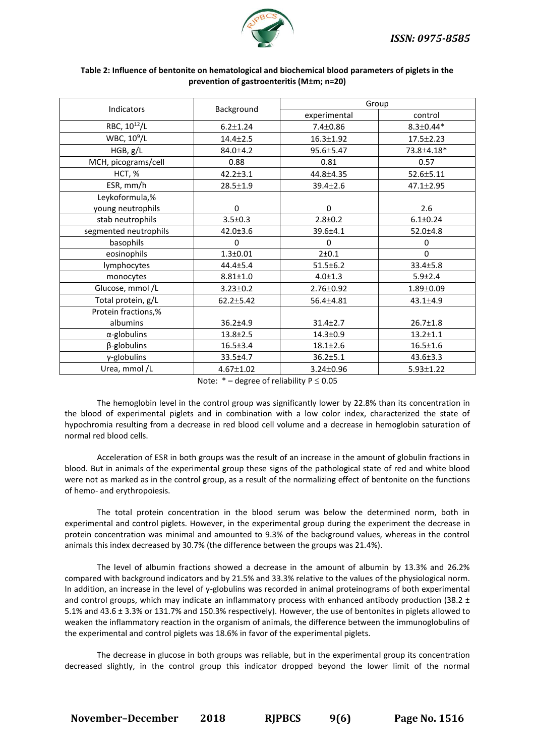

| <b>Indicators</b>        | Background      | Group           |                 |  |
|--------------------------|-----------------|-----------------|-----------------|--|
|                          |                 | experimental    | control         |  |
| RBC, 10 <sup>12</sup> /L | $6.2 \pm 1.24$  | $7.4 \pm 0.86$  | $8.3 \pm 0.44*$ |  |
| WBC, $10^9/L$            | $14.4 \pm 2.5$  | $16.3 \pm 1.92$ | $17.5 \pm 2.23$ |  |
| HGB, g/L                 | $84.0 \pm 4.2$  | $95.6 \pm 5.47$ | 73.8±4.18*      |  |
| MCH, picograms/cell      | 0.88            | 0.81            | 0.57            |  |
| HCT, %                   | $42.2 \pm 3.1$  | 44.8±4.35       | $52.6 \pm 5.11$ |  |
| ESR, mm/h                | $28.5 \pm 1.9$  | $39.4 \pm 2.6$  | $47.1 \pm 2.95$ |  |
| Leykoformula,%           |                 |                 |                 |  |
| young neutrophils        | 0               | $\Omega$        | 2.6             |  |
| stab neutrophils         | $3.5 \pm 0.3$   | $2.8 + 0.2$     | $6.1 \pm 0.24$  |  |
| segmented neutrophils    | $42.0 \pm 3.6$  | 39.6±4.1        | $52.0 \pm 4.8$  |  |
| basophils                | $\mathbf 0$     | $\Omega$        | 0               |  |
| eosinophils              | $1.3 + 0.01$    | 2±0.1           | $\Omega$        |  |
| lymphocytes              | $44.4 \pm 5.4$  | $51.5 \pm 6.2$  | 33.4±5.8        |  |
| monocytes                | $8.81 \pm 1.0$  | $4.0 \pm 1.3$   | 5.9 ± 2.4       |  |
| Glucose, mmol /L         | $3.23 \pm 0.2$  | $2.76 \pm 0.92$ | $1.89 \pm 0.09$ |  |
| Total protein, g/L       | $62.2 \pm 5.42$ | $56.4 \pm 4.81$ | $43.1 \pm 4.9$  |  |
| Protein fractions,%      |                 |                 |                 |  |
| albumins                 | $36.2{\pm}4.9$  | $31.4 \pm 2.7$  | $26.7 \pm 1.8$  |  |
| $\alpha$ -globulins      | $13.8 \pm 2.5$  | $14.3 \pm 0.9$  | $13.2 \pm 1.1$  |  |
| $\beta$ -globulins       | $16.5 \pm 3.4$  | $18.1 \pm 2.6$  | $16.5 \pm 1.6$  |  |
| γ-globulins              | $33.5 \pm 4.7$  | $36.2 \pm 5.1$  | 43.6±3.3        |  |
| Urea, mmol/L             | $4.67 \pm 1.02$ | $3.24 \pm 0.96$ | $5.93 \pm 1.22$ |  |

#### **Table 2: Influence of bentonite on hematological and biochemical blood parameters of piglets in the prevention of gastroenteritis (M±m; n=20)**

Note:  $*$  – degree of reliability  $P \le 0.05$ 

The hemoglobin level in the control group was significantly lower by 22.8% than its concentration in the blood of experimental piglets and in combination with a low color index, characterized the state of hypochromia resulting from a decrease in red blood cell volume and a decrease in hemoglobin saturation of normal red blood cells.

Acceleration of ESR in both groups was the result of an increase in the amount of globulin fractions in blood. But in animals of the experimental group these signs of the pathological state of red and white blood were not as marked as in the control group, as a result of the normalizing effect of bentonite on the functions of hemo- and erythropoiesis.

The total protein concentration in the blood serum was below the determined norm, both in experimental and control piglets. However, in the experimental group during the experiment the decrease in protein concentration was minimal and amounted to 9.3% of the background values, whereas in the control animals this index decreased by 30.7% (the difference between the groups was 21.4%).

The level of albumin fractions showed a decrease in the amount of albumin by 13.3% and 26.2% compared with background indicators and by 21.5% and 33.3% relative to the values of the physiological norm. In addition, an increase in the level of γ-globulins was recorded in animal proteinograms of both experimental and control groups, which may indicate an inflammatory process with enhanced antibody production (38.2  $\pm$ 5.1% and 43.6 ± 3.3% or 131.7% and 150.3% respectively). However, the use of bentonites in piglets allowed to weaken the inflammatory reaction in the organism of animals, the difference between the immunoglobulins of the experimental and control piglets was 18.6% in favor of the experimental piglets.

The decrease in glucose in both groups was reliable, but in the experimental group its concentration decreased slightly, in the control group this indicator dropped beyond the lower limit of the normal